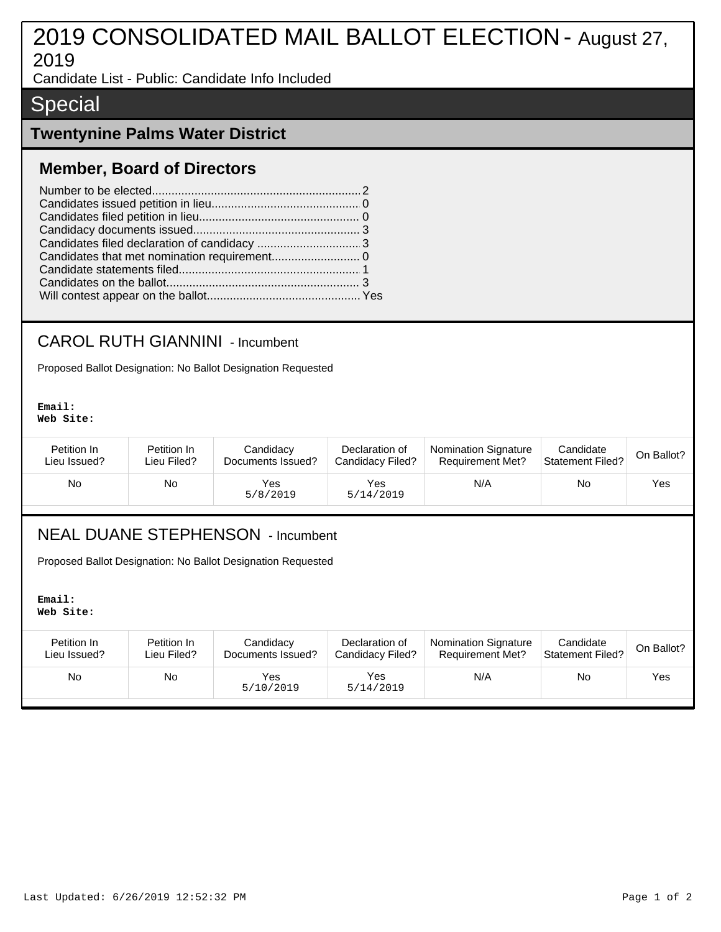# 2019 CONSOLIDATED MAIL BALLOT ELECTION - August 27, 2019

Candidate List - Public: Candidate Info Included

## **Special**

#### **Twentynine Palms Water District**

#### **Member, Board of Directors**

### CAROL RUTH GIANNINI - Incumbent

Proposed Ballot Designation: No Ballot Designation Requested

**Email: Web Site:**

| Petition In  | Petition In | Candidacy         | Declaration of   | <b>Nomination Signature</b> | Candidate        | On Ballot? |
|--------------|-------------|-------------------|------------------|-----------------------------|------------------|------------|
| Lieu Issued? | Lieu Filed? | Documents Issued? | Candidacy Filed? | <b>Requirement Met?</b>     | Statement Filed? |            |
| No           | No          | Yes<br>5/8/2019   | Yes<br>5/14/2019 | N/A                         | No               | Yes        |

#### NEAL DUANE STEPHENSON - Incumbent

Proposed Ballot Designation: No Ballot Designation Requested

**Email: Web Site:**

| Petition In  | Petition In | Candidacy         | Declaration of   | <b>Nomination Signature</b> | Candidate               | On Ballot? |
|--------------|-------------|-------------------|------------------|-----------------------------|-------------------------|------------|
| Lieu Issued? | Lieu Filed? | Documents Issued? | Candidacy Filed? | <b>Requirement Met?</b>     | <b>Statement Filed?</b> |            |
| No           | No          | Yes<br>5/10/2019  | Yes<br>5/14/2019 | N/A                         | <b>No</b>               | Yes.       |